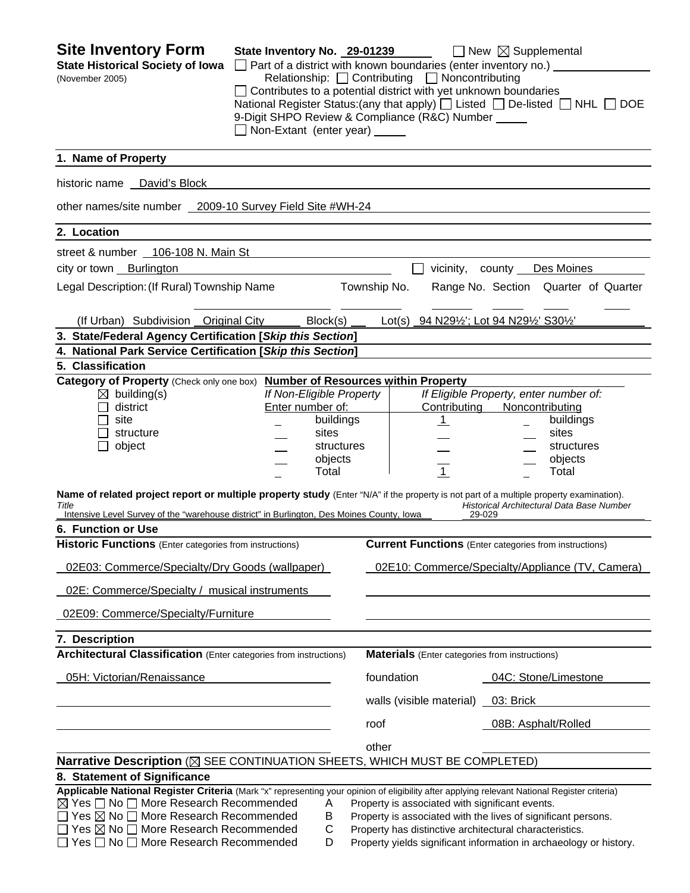| <b>Site Inventory Form</b><br><b>State Historical Society of Iowa</b><br>(November 2005)                                                                                                                                                                                                                                                                         | State Inventory No. 29-01239<br>$\Box$ Part of a district with known boundaries (enter inventory no.) $\Box$<br>$\Box$ Contributes to a potential district with yet unknown boundaries<br>9-Digit SHPO Review & Compliance (R&C) Number _____<br>Non-Extant (enter year) _____ | Relationship: <u>□</u> Contributing □ Noncontributing                                                      | $\Box$ New $\boxtimes$ Supplemental<br>National Register Status: (any that apply) [ Listed [ ] De-listed [ ] NHL [ ] DOE            |
|------------------------------------------------------------------------------------------------------------------------------------------------------------------------------------------------------------------------------------------------------------------------------------------------------------------------------------------------------------------|--------------------------------------------------------------------------------------------------------------------------------------------------------------------------------------------------------------------------------------------------------------------------------|------------------------------------------------------------------------------------------------------------|-------------------------------------------------------------------------------------------------------------------------------------|
| 1. Name of Property                                                                                                                                                                                                                                                                                                                                              |                                                                                                                                                                                                                                                                                |                                                                                                            |                                                                                                                                     |
| historic name David's Block                                                                                                                                                                                                                                                                                                                                      |                                                                                                                                                                                                                                                                                |                                                                                                            |                                                                                                                                     |
| other names/site number 2009-10 Survey Field Site #WH-24                                                                                                                                                                                                                                                                                                         |                                                                                                                                                                                                                                                                                |                                                                                                            |                                                                                                                                     |
| 2. Location                                                                                                                                                                                                                                                                                                                                                      |                                                                                                                                                                                                                                                                                |                                                                                                            |                                                                                                                                     |
| street & number 106-108 N. Main St                                                                                                                                                                                                                                                                                                                               |                                                                                                                                                                                                                                                                                |                                                                                                            |                                                                                                                                     |
| city or town Burlington                                                                                                                                                                                                                                                                                                                                          |                                                                                                                                                                                                                                                                                |                                                                                                            | vicinity, county Des Moines                                                                                                         |
| Legal Description: (If Rural) Township Name                                                                                                                                                                                                                                                                                                                      |                                                                                                                                                                                                                                                                                | Township No.                                                                                               | Range No. Section Quarter of Quarter                                                                                                |
| (If Urban) Subdivision Original City                                                                                                                                                                                                                                                                                                                             | Block(s)                                                                                                                                                                                                                                                                       | Lot(s) 94 N291/2'; Lot 94 N291/2' S301/2'                                                                  |                                                                                                                                     |
| 3. State/Federal Agency Certification [Skip this Section]                                                                                                                                                                                                                                                                                                        |                                                                                                                                                                                                                                                                                |                                                                                                            |                                                                                                                                     |
| 4. National Park Service Certification [Skip this Section]                                                                                                                                                                                                                                                                                                       |                                                                                                                                                                                                                                                                                |                                                                                                            |                                                                                                                                     |
| 5. Classification<br>Category of Property (Check only one box) Number of Resources within Property                                                                                                                                                                                                                                                               |                                                                                                                                                                                                                                                                                |                                                                                                            |                                                                                                                                     |
| $\boxtimes$ building(s)<br>district<br>site<br>structure<br>object                                                                                                                                                                                                                                                                                               | If Non-Eligible Property<br>Enter number of:<br>buildings<br>sites<br>structures<br>objects<br>Total                                                                                                                                                                           | Contributing<br>$\mathbf{1}$<br>$\mathbf{1}$                                                               | If Eligible Property, enter number of:<br>Noncontributing<br>buildings<br>sites<br>structures<br>objects<br>Total                   |
| Name of related project report or multiple property study (Enter "N/A" if the property is not part of a multiple property examination).<br>Title<br>Intensive Level Survey of the "warehouse district" in Burlington, Des Moines County, Iowa                                                                                                                    |                                                                                                                                                                                                                                                                                | 29-029                                                                                                     | Historical Architectural Data Base Number                                                                                           |
| 6. Function or Use                                                                                                                                                                                                                                                                                                                                               |                                                                                                                                                                                                                                                                                |                                                                                                            |                                                                                                                                     |
| <b>Historic Functions</b> (Enter categories from instructions)                                                                                                                                                                                                                                                                                                   |                                                                                                                                                                                                                                                                                |                                                                                                            | <b>Current Functions</b> (Enter categories from instructions)                                                                       |
| 02E03: Commerce/Specialty/Dry Goods (wallpaper)                                                                                                                                                                                                                                                                                                                  |                                                                                                                                                                                                                                                                                |                                                                                                            | 02E10: Commerce/Specialty/Appliance (TV, Camera)                                                                                    |
| 02E: Commerce/Specialty / musical instruments                                                                                                                                                                                                                                                                                                                    |                                                                                                                                                                                                                                                                                |                                                                                                            |                                                                                                                                     |
| 02E09: Commerce/Specialty/Furniture                                                                                                                                                                                                                                                                                                                              |                                                                                                                                                                                                                                                                                |                                                                                                            |                                                                                                                                     |
| 7. Description                                                                                                                                                                                                                                                                                                                                                   |                                                                                                                                                                                                                                                                                |                                                                                                            |                                                                                                                                     |
| <b>Architectural Classification</b> (Enter categories from instructions)                                                                                                                                                                                                                                                                                         |                                                                                                                                                                                                                                                                                | <b>Materials</b> (Enter categories from instructions)                                                      |                                                                                                                                     |
| 05H: Victorian/Renaissance                                                                                                                                                                                                                                                                                                                                       |                                                                                                                                                                                                                                                                                | foundation                                                                                                 | 04C: Stone/Limestone                                                                                                                |
|                                                                                                                                                                                                                                                                                                                                                                  |                                                                                                                                                                                                                                                                                | walls (visible material) _                                                                                 | 03: Brick                                                                                                                           |
|                                                                                                                                                                                                                                                                                                                                                                  |                                                                                                                                                                                                                                                                                | roof                                                                                                       | 08B: Asphalt/Rolled                                                                                                                 |
|                                                                                                                                                                                                                                                                                                                                                                  |                                                                                                                                                                                                                                                                                | other                                                                                                      |                                                                                                                                     |
| Narrative Description ( $\boxtimes$ SEE CONTINUATION SHEETS, WHICH MUST BE COMPLETED)                                                                                                                                                                                                                                                                            |                                                                                                                                                                                                                                                                                |                                                                                                            |                                                                                                                                     |
| 8. Statement of Significance                                                                                                                                                                                                                                                                                                                                     |                                                                                                                                                                                                                                                                                |                                                                                                            |                                                                                                                                     |
| Applicable National Register Criteria (Mark "x" representing your opinion of eligibility after applying relevant National Register criteria)<br>$\boxtimes$ Yes $\Box$ No $\Box$ More Research Recommended<br>Yes $\boxtimes$ No $\Box$ More Research Recommended<br>Yes $\boxtimes$ No $\Box$ More Research Recommended<br>Yes □ No □ More Research Recommended | Α<br>Β<br>C<br>D                                                                                                                                                                                                                                                               | Property is associated with significant events.<br>Property has distinctive architectural characteristics. | Property is associated with the lives of significant persons.<br>Property yields significant information in archaeology or history. |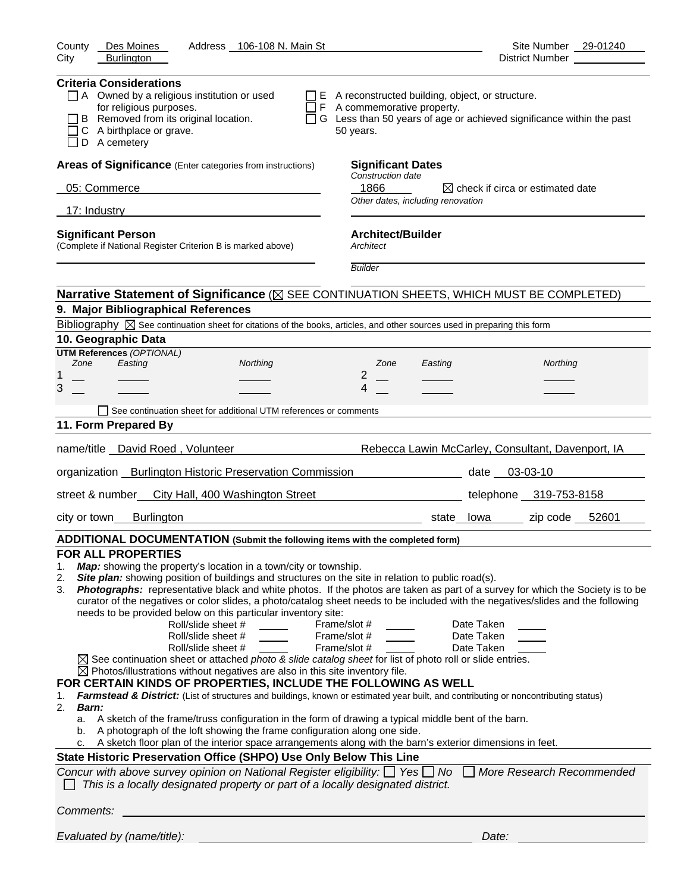| Address 106-108 N. Main St<br>County<br>Des Moines<br>City<br><b>Burlington</b>                                                                                                                                                                                                                                                                                                                                                                                                                                                                                                                                                                                                                                                                                                                                                                                                                                                                                                                                                                                                                                                                                                                                                                  | Site Number 29-01240<br>District Number __________                                                                                                                                                                                                                                                                                                                                                                                                                                                                               |
|--------------------------------------------------------------------------------------------------------------------------------------------------------------------------------------------------------------------------------------------------------------------------------------------------------------------------------------------------------------------------------------------------------------------------------------------------------------------------------------------------------------------------------------------------------------------------------------------------------------------------------------------------------------------------------------------------------------------------------------------------------------------------------------------------------------------------------------------------------------------------------------------------------------------------------------------------------------------------------------------------------------------------------------------------------------------------------------------------------------------------------------------------------------------------------------------------------------------------------------------------|----------------------------------------------------------------------------------------------------------------------------------------------------------------------------------------------------------------------------------------------------------------------------------------------------------------------------------------------------------------------------------------------------------------------------------------------------------------------------------------------------------------------------------|
| <b>Criteria Considerations</b><br>$\Box$ A Owned by a religious institution or used<br>for religious purposes.<br>B Removed from its original location.<br>C A birthplace or grave.<br>$\Box$ D A cemetery                                                                                                                                                                                                                                                                                                                                                                                                                                                                                                                                                                                                                                                                                                                                                                                                                                                                                                                                                                                                                                       | $\Box$ E A reconstructed building, object, or structure.<br>$\Box$ F A commemorative property.<br>G Less than 50 years of age or achieved significance within the past<br>50 years.                                                                                                                                                                                                                                                                                                                                              |
| Areas of Significance (Enter categories from instructions)                                                                                                                                                                                                                                                                                                                                                                                                                                                                                                                                                                                                                                                                                                                                                                                                                                                                                                                                                                                                                                                                                                                                                                                       | <b>Significant Dates</b>                                                                                                                                                                                                                                                                                                                                                                                                                                                                                                         |
| 05: Commerce                                                                                                                                                                                                                                                                                                                                                                                                                                                                                                                                                                                                                                                                                                                                                                                                                                                                                                                                                                                                                                                                                                                                                                                                                                     | Construction date<br>1866<br>$\boxtimes$ check if circa or estimated date                                                                                                                                                                                                                                                                                                                                                                                                                                                        |
| 17: Industry                                                                                                                                                                                                                                                                                                                                                                                                                                                                                                                                                                                                                                                                                                                                                                                                                                                                                                                                                                                                                                                                                                                                                                                                                                     | Other dates, including renovation                                                                                                                                                                                                                                                                                                                                                                                                                                                                                                |
| <b>Significant Person</b><br>(Complete if National Register Criterion B is marked above)                                                                                                                                                                                                                                                                                                                                                                                                                                                                                                                                                                                                                                                                                                                                                                                                                                                                                                                                                                                                                                                                                                                                                         | <b>Architect/Builder</b><br>Architect<br><b>Builder</b>                                                                                                                                                                                                                                                                                                                                                                                                                                                                          |
|                                                                                                                                                                                                                                                                                                                                                                                                                                                                                                                                                                                                                                                                                                                                                                                                                                                                                                                                                                                                                                                                                                                                                                                                                                                  | Narrative Statement of Significance ( $\boxtimes$ SEE CONTINUATION SHEETS, WHICH MUST BE COMPLETED)                                                                                                                                                                                                                                                                                                                                                                                                                              |
| 9. Major Bibliographical References                                                                                                                                                                                                                                                                                                                                                                                                                                                                                                                                                                                                                                                                                                                                                                                                                                                                                                                                                                                                                                                                                                                                                                                                              |                                                                                                                                                                                                                                                                                                                                                                                                                                                                                                                                  |
| Bibliography $\boxtimes$ See continuation sheet for citations of the books, articles, and other sources used in preparing this form                                                                                                                                                                                                                                                                                                                                                                                                                                                                                                                                                                                                                                                                                                                                                                                                                                                                                                                                                                                                                                                                                                              |                                                                                                                                                                                                                                                                                                                                                                                                                                                                                                                                  |
| 10. Geographic Data                                                                                                                                                                                                                                                                                                                                                                                                                                                                                                                                                                                                                                                                                                                                                                                                                                                                                                                                                                                                                                                                                                                                                                                                                              |                                                                                                                                                                                                                                                                                                                                                                                                                                                                                                                                  |
| <b>UTM References (OPTIONAL)</b><br>Zone<br>Easting<br>Northing<br>1<br>3                                                                                                                                                                                                                                                                                                                                                                                                                                                                                                                                                                                                                                                                                                                                                                                                                                                                                                                                                                                                                                                                                                                                                                        | Zone<br>Northing<br>Easting<br>2<br>4                                                                                                                                                                                                                                                                                                                                                                                                                                                                                            |
| See continuation sheet for additional UTM references or comments                                                                                                                                                                                                                                                                                                                                                                                                                                                                                                                                                                                                                                                                                                                                                                                                                                                                                                                                                                                                                                                                                                                                                                                 |                                                                                                                                                                                                                                                                                                                                                                                                                                                                                                                                  |
| 11. Form Prepared By                                                                                                                                                                                                                                                                                                                                                                                                                                                                                                                                                                                                                                                                                                                                                                                                                                                                                                                                                                                                                                                                                                                                                                                                                             |                                                                                                                                                                                                                                                                                                                                                                                                                                                                                                                                  |
| name/title David Roed, Volunteer                                                                                                                                                                                                                                                                                                                                                                                                                                                                                                                                                                                                                                                                                                                                                                                                                                                                                                                                                                                                                                                                                                                                                                                                                 | Rebecca Lawin McCarley, Consultant, Davenport, IA                                                                                                                                                                                                                                                                                                                                                                                                                                                                                |
| organization _ Burlington Historic Preservation Commission                                                                                                                                                                                                                                                                                                                                                                                                                                                                                                                                                                                                                                                                                                                                                                                                                                                                                                                                                                                                                                                                                                                                                                                       | date 03-03-10                                                                                                                                                                                                                                                                                                                                                                                                                                                                                                                    |
| street & number_ City Hall, 400 Washington Street                                                                                                                                                                                                                                                                                                                                                                                                                                                                                                                                                                                                                                                                                                                                                                                                                                                                                                                                                                                                                                                                                                                                                                                                | telephone 319-753-8158                                                                                                                                                                                                                                                                                                                                                                                                                                                                                                           |
| city or town<br>Burlington                                                                                                                                                                                                                                                                                                                                                                                                                                                                                                                                                                                                                                                                                                                                                                                                                                                                                                                                                                                                                                                                                                                                                                                                                       | zip code 52601<br>state lowa                                                                                                                                                                                                                                                                                                                                                                                                                                                                                                     |
| ADDITIONAL DOCUMENTATION (Submit the following items with the completed form)                                                                                                                                                                                                                                                                                                                                                                                                                                                                                                                                                                                                                                                                                                                                                                                                                                                                                                                                                                                                                                                                                                                                                                    |                                                                                                                                                                                                                                                                                                                                                                                                                                                                                                                                  |
| <b>FOR ALL PROPERTIES</b><br><b>Map:</b> showing the property's location in a town/city or township.<br>1.<br>Site plan: showing position of buildings and structures on the site in relation to public road(s).<br>2.<br>3.<br>needs to be provided below on this particular inventory site:<br>Roll/slide sheet #<br>Roll/slide sheet #<br>Roll/slide sheet #<br>$\boxtimes$ See continuation sheet or attached photo & slide catalog sheet for list of photo roll or slide entries.<br>$\boxtimes$ Photos/illustrations without negatives are also in this site inventory file.<br>FOR CERTAIN KINDS OF PROPERTIES, INCLUDE THE FOLLOWING AS WELL<br>1.<br>2.<br><b>Barn:</b><br>A sketch of the frame/truss configuration in the form of drawing a typical middle bent of the barn.<br>a.<br>b. A photograph of the loft showing the frame configuration along one side.<br>c. A sketch floor plan of the interior space arrangements along with the barn's exterior dimensions in feet.<br>State Historic Preservation Office (SHPO) Use Only Below This Line<br>Concur with above survey opinion on National Register eligibility: $\Box$ Yes $\Box$ No<br>This is a locally designated property or part of a locally designated district. | Photographs: representative black and white photos. If the photos are taken as part of a survey for which the Society is to be<br>curator of the negatives or color slides, a photo/catalog sheet needs to be included with the negatives/slides and the following<br>Frame/slot #<br>Date Taken<br>Frame/slot #<br>Date Taken<br>Frame/slot #<br>Date Taken<br>Farmstead & District: (List of structures and buildings, known or estimated year built, and contributing or noncontributing status)<br>More Research Recommended |
| Comments:                                                                                                                                                                                                                                                                                                                                                                                                                                                                                                                                                                                                                                                                                                                                                                                                                                                                                                                                                                                                                                                                                                                                                                                                                                        |                                                                                                                                                                                                                                                                                                                                                                                                                                                                                                                                  |
| Evaluated by (name/title):                                                                                                                                                                                                                                                                                                                                                                                                                                                                                                                                                                                                                                                                                                                                                                                                                                                                                                                                                                                                                                                                                                                                                                                                                       | Date:                                                                                                                                                                                                                                                                                                                                                                                                                                                                                                                            |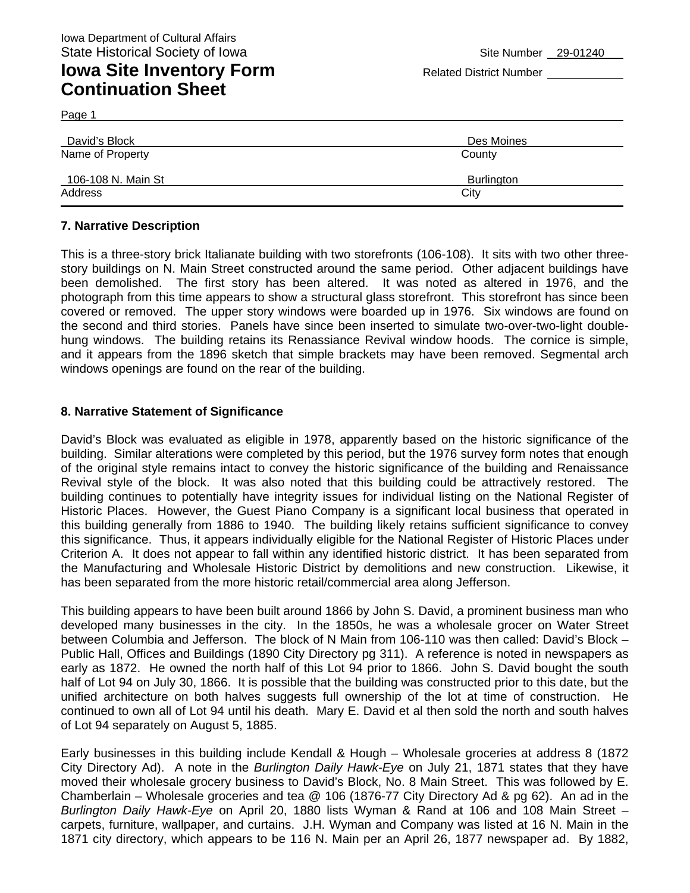Page 1

| David's Block      | Des Moines |
|--------------------|------------|
| Name of Property   | County     |
| 106-108 N. Main St | Burlington |
| Address            | City       |

#### **7. Narrative Description**

This is a three-story brick Italianate building with two storefronts (106-108). It sits with two other threestory buildings on N. Main Street constructed around the same period. Other adjacent buildings have been demolished. The first story has been altered. It was noted as altered in 1976, and the photograph from this time appears to show a structural glass storefront. This storefront has since been covered or removed. The upper story windows were boarded up in 1976. Six windows are found on the second and third stories. Panels have since been inserted to simulate two-over-two-light doublehung windows. The building retains its Renassiance Revival window hoods. The cornice is simple, and it appears from the 1896 sketch that simple brackets may have been removed. Segmental arch windows openings are found on the rear of the building.

### **8. Narrative Statement of Significance**

David's Block was evaluated as eligible in 1978, apparently based on the historic significance of the building. Similar alterations were completed by this period, but the 1976 survey form notes that enough of the original style remains intact to convey the historic significance of the building and Renaissance Revival style of the block. It was also noted that this building could be attractively restored. The building continues to potentially have integrity issues for individual listing on the National Register of Historic Places. However, the Guest Piano Company is a significant local business that operated in this building generally from 1886 to 1940. The building likely retains sufficient significance to convey this significance. Thus, it appears individually eligible for the National Register of Historic Places under Criterion A. It does not appear to fall within any identified historic district. It has been separated from the Manufacturing and Wholesale Historic District by demolitions and new construction. Likewise, it has been separated from the more historic retail/commercial area along Jefferson.

This building appears to have been built around 1866 by John S. David, a prominent business man who developed many businesses in the city. In the 1850s, he was a wholesale grocer on Water Street between Columbia and Jefferson. The block of N Main from 106-110 was then called: David's Block – Public Hall, Offices and Buildings (1890 City Directory pg 311). A reference is noted in newspapers as early as 1872. He owned the north half of this Lot 94 prior to 1866. John S. David bought the south half of Lot 94 on July 30, 1866. It is possible that the building was constructed prior to this date, but the unified architecture on both halves suggests full ownership of the lot at time of construction. He continued to own all of Lot 94 until his death. Mary E. David et al then sold the north and south halves of Lot 94 separately on August 5, 1885.

Early businesses in this building include Kendall & Hough – Wholesale groceries at address 8 (1872 City Directory Ad). A note in the *Burlington Daily Hawk-Eye* on July 21, 1871 states that they have moved their wholesale grocery business to David's Block, No. 8 Main Street. This was followed by E. Chamberlain – Wholesale groceries and tea @ 106 (1876-77 City Directory Ad & pg 62). An ad in the *Burlington Daily Hawk-Eye* on April 20, 1880 lists Wyman & Rand at 106 and 108 Main Street – carpets, furniture, wallpaper, and curtains. J.H. Wyman and Company was listed at 16 N. Main in the 1871 city directory, which appears to be 116 N. Main per an April 26, 1877 newspaper ad. By 1882,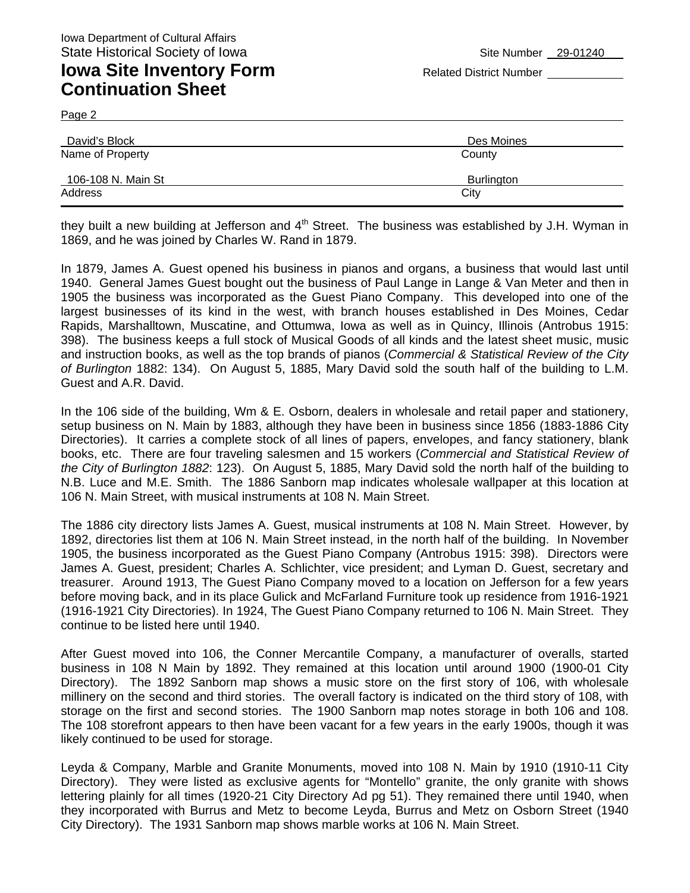Page 2

| David's Block      | Des Moines |
|--------------------|------------|
| Name of Property   | County     |
| 106-108 N. Main St | Burlington |
| Address            | City       |

they built a new building at Jefferson and  $4<sup>th</sup>$  Street. The business was established by J.H. Wyman in 1869, and he was joined by Charles W. Rand in 1879.

In 1879, James A. Guest opened his business in pianos and organs, a business that would last until 1940. General James Guest bought out the business of Paul Lange in Lange & Van Meter and then in 1905 the business was incorporated as the Guest Piano Company. This developed into one of the largest businesses of its kind in the west, with branch houses established in Des Moines, Cedar Rapids, Marshalltown, Muscatine, and Ottumwa, Iowa as well as in Quincy, Illinois (Antrobus 1915: 398). The business keeps a full stock of Musical Goods of all kinds and the latest sheet music, music and instruction books, as well as the top brands of pianos (*Commercial & Statistical Review of the City of Burlington* 1882: 134). On August 5, 1885, Mary David sold the south half of the building to L.M. Guest and A.R. David.

In the 106 side of the building, Wm & E. Osborn, dealers in wholesale and retail paper and stationery, setup business on N. Main by 1883, although they have been in business since 1856 (1883-1886 City Directories). It carries a complete stock of all lines of papers, envelopes, and fancy stationery, blank books, etc. There are four traveling salesmen and 15 workers (*Commercial and Statistical Review of the City of Burlington 1882*: 123). On August 5, 1885, Mary David sold the north half of the building to N.B. Luce and M.E. Smith. The 1886 Sanborn map indicates wholesale wallpaper at this location at 106 N. Main Street, with musical instruments at 108 N. Main Street.

The 1886 city directory lists James A. Guest, musical instruments at 108 N. Main Street. However, by 1892, directories list them at 106 N. Main Street instead, in the north half of the building. In November 1905, the business incorporated as the Guest Piano Company (Antrobus 1915: 398). Directors were James A. Guest, president; Charles A. Schlichter, vice president; and Lyman D. Guest, secretary and treasurer. Around 1913, The Guest Piano Company moved to a location on Jefferson for a few years before moving back, and in its place Gulick and McFarland Furniture took up residence from 1916-1921 (1916-1921 City Directories). In 1924, The Guest Piano Company returned to 106 N. Main Street. They continue to be listed here until 1940.

After Guest moved into 106, the Conner Mercantile Company, a manufacturer of overalls, started business in 108 N Main by 1892. They remained at this location until around 1900 (1900-01 City Directory). The 1892 Sanborn map shows a music store on the first story of 106, with wholesale millinery on the second and third stories. The overall factory is indicated on the third story of 108, with storage on the first and second stories. The 1900 Sanborn map notes storage in both 106 and 108. The 108 storefront appears to then have been vacant for a few years in the early 1900s, though it was likely continued to be used for storage.

Leyda & Company, Marble and Granite Monuments, moved into 108 N. Main by 1910 (1910-11 City Directory). They were listed as exclusive agents for "Montello" granite, the only granite with shows lettering plainly for all times (1920-21 City Directory Ad pg 51). They remained there until 1940, when they incorporated with Burrus and Metz to become Leyda, Burrus and Metz on Osborn Street (1940 City Directory). The 1931 Sanborn map shows marble works at 106 N. Main Street.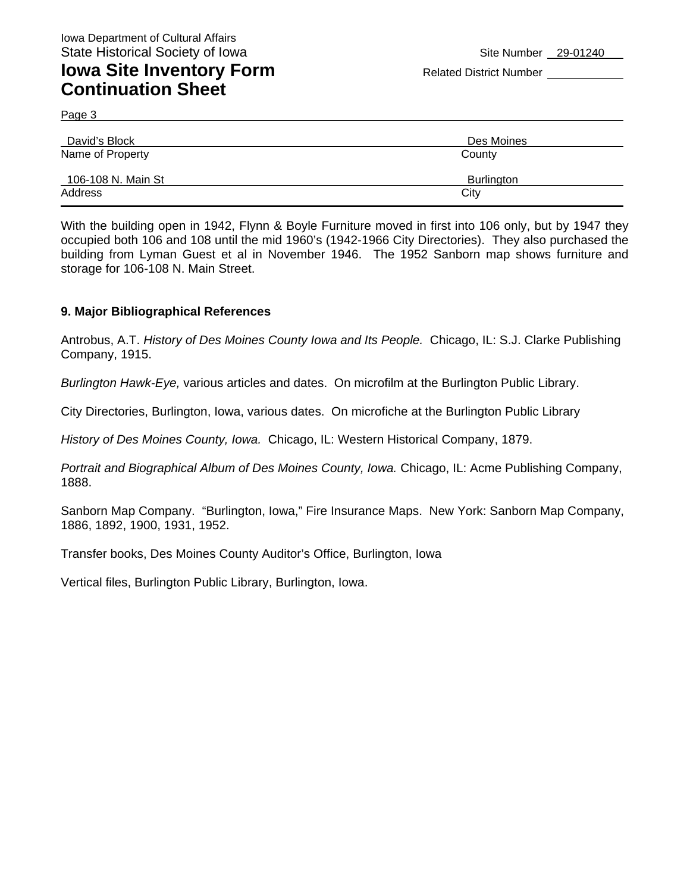Page 3

| David's Block      | Des Moines |
|--------------------|------------|
| Name of Property   | County     |
| 106-108 N. Main St | Burlington |
| Address            | City       |

With the building open in 1942, Flynn & Boyle Furniture moved in first into 106 only, but by 1947 they occupied both 106 and 108 until the mid 1960's (1942-1966 City Directories). They also purchased the building from Lyman Guest et al in November 1946. The 1952 Sanborn map shows furniture and storage for 106-108 N. Main Street.

### **9. Major Bibliographical References**

Antrobus, A.T. *History of Des Moines County Iowa and Its People.* Chicago, IL: S.J. Clarke Publishing Company, 1915.

*Burlington Hawk-Eye,* various articles and dates. On microfilm at the Burlington Public Library.

City Directories, Burlington, Iowa, various dates. On microfiche at the Burlington Public Library

*History of Des Moines County, Iowa.* Chicago, IL: Western Historical Company, 1879.

Portrait and Biographical Album of Des Moines County, Iowa. Chicago, IL: Acme Publishing Company, 1888.

Sanborn Map Company. "Burlington, Iowa," Fire Insurance Maps. New York: Sanborn Map Company, 1886, 1892, 1900, 1931, 1952.

Transfer books, Des Moines County Auditor's Office, Burlington, Iowa

Vertical files, Burlington Public Library, Burlington, Iowa.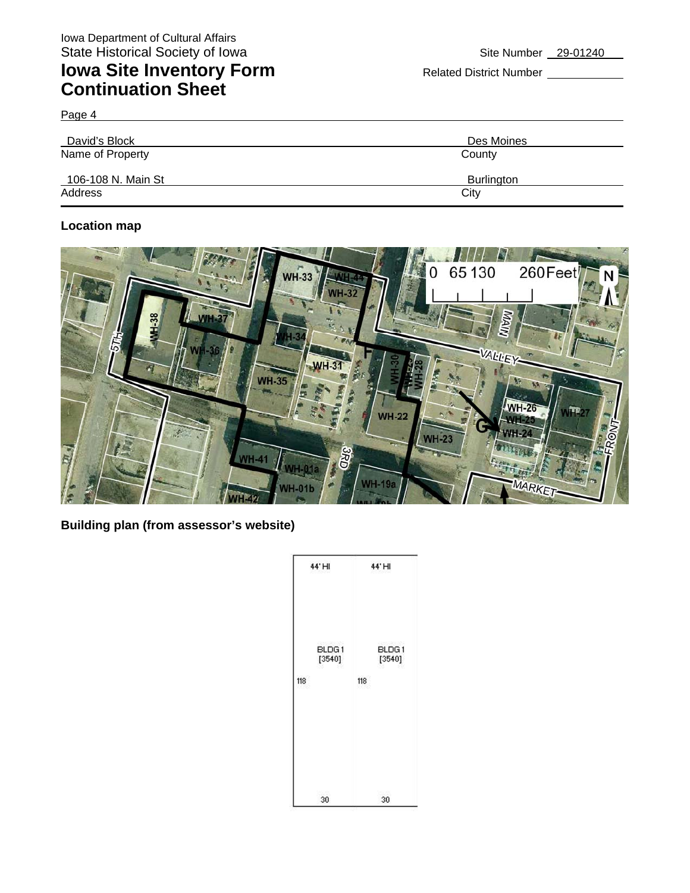Page 4

| David's Block      | Des Moines |
|--------------------|------------|
| Name of Property   | County     |
| 106-108 N. Main St | Burlington |
| Address            | City       |

### **Location map**



**Building plan (from assessor's website)** 

| 44'HI                  | 44'HI                  |
|------------------------|------------------------|
| BLDG1<br>[3540]<br>118 | BLDG1<br>[3540]<br>118 |
| 30                     | 30                     |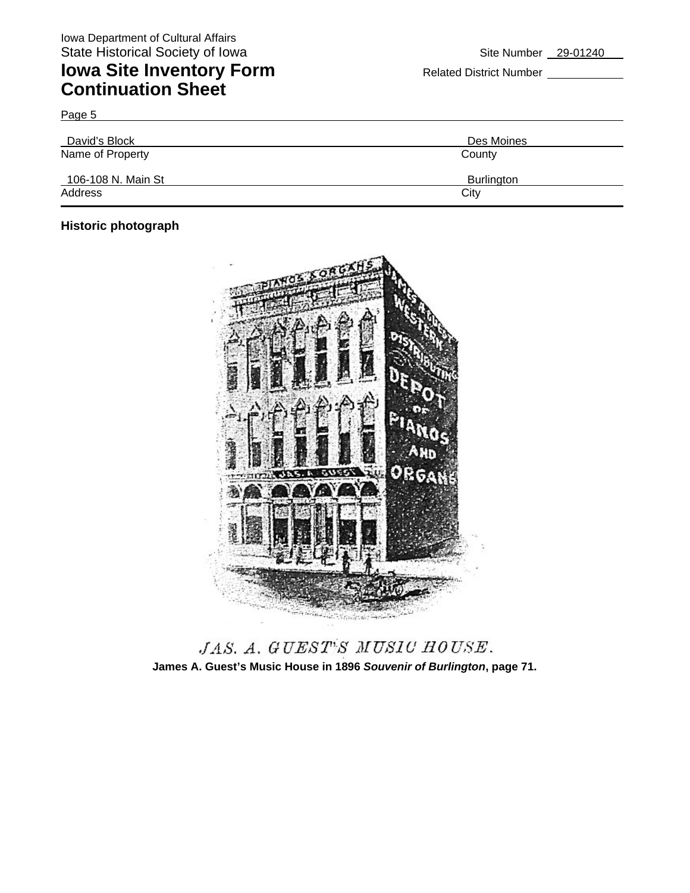# **Iowa Site Inventory Form** Related District Number **Continuation Sheet**

Page 5 David's Block David's Block Des Moines Name of Property **County** County 106-108 N. Main St Burlington Address City **City Address** 

### **Historic photograph**



JAS. A. GUEST'S MUSIC HOUSE. **James A. Guest's Music House in 1896** *Souvenir of Burlington***, page 71.**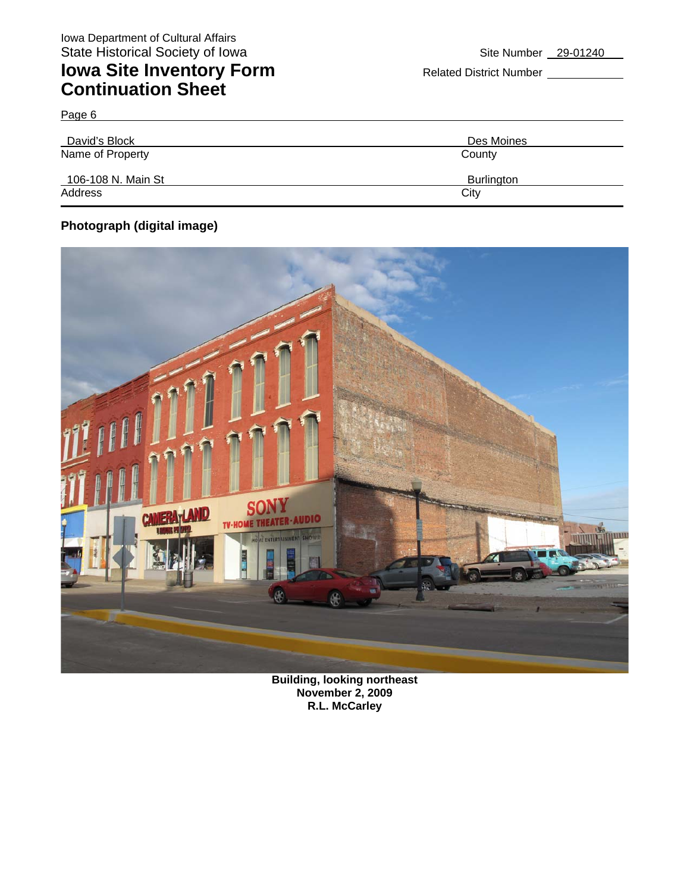# **Iowa Site Inventory Form** Related District Number **Continuation Sheet**

| David's Block      | Des Moines |
|--------------------|------------|
| Name of Property   | County     |
|                    |            |
| 106-108 N. Main St | Burlington |
| Address            | City       |
|                    |            |

### **Photograph (digital image)**

Page 6



**Building, looking northeast November 2, 2009 R.L. McCarley**